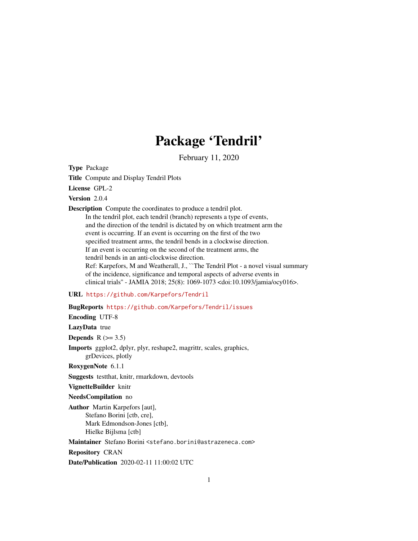# Package 'Tendril'

February 11, 2020

Type Package

Title Compute and Display Tendril Plots

License GPL-2

Version 2.0.4

Description Compute the coordinates to produce a tendril plot.

In the tendril plot, each tendril (branch) represents a type of events, and the direction of the tendril is dictated by on which treatment arm the event is occurring. If an event is occurring on the first of the two specified treatment arms, the tendril bends in a clockwise direction. If an event is occurring on the second of the treatment arms, the tendril bends in an anti-clockwise direction. Ref: Karpefors, M and Weatherall, J., ``The Tendril Plot - a novel visual summary of the incidence, significance and temporal aspects of adverse events in clinical trials'' - JAMIA 2018; 25(8): 1069-1073 <doi:10.1093/jamia/ocy016>.

URL <https://github.com/Karpefors/Tendril>

# BugReports <https://github.com/Karpefors/Tendril/issues>

Encoding UTF-8

LazyData true

Depends  $R$  ( $>= 3.5$ )

Imports ggplot2, dplyr, plyr, reshape2, magrittr, scales, graphics, grDevices, plotly

RoxygenNote 6.1.1

Suggests testthat, knitr, rmarkdown, devtools

VignetteBuilder knitr

NeedsCompilation no

Author Martin Karpefors [aut], Stefano Borini [ctb, cre], Mark Edmondson-Jones [ctb], Hielke Bijlsma [ctb]

Maintainer Stefano Borini <stefano.borini@astrazeneca.com>

Repository CRAN

Date/Publication 2020-02-11 11:00:02 UTC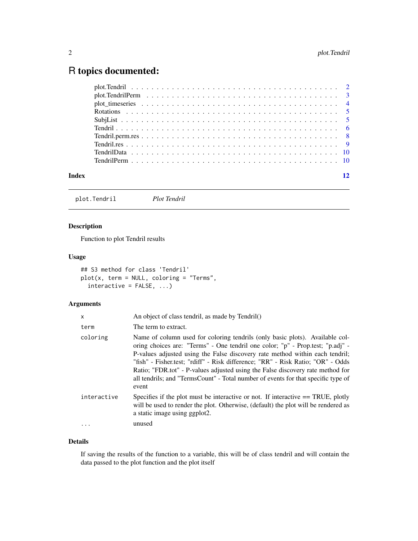# <span id="page-1-0"></span>R topics documented:

#### **Index** [12](#page-11-0)

plot.Tendril *Plot Tendril*

# Description

Function to plot Tendril results

# Usage

```
## S3 method for class 'Tendril'
plot(x, term = NULL, coloring = "Terms",
  interactive = FALSE, ...)
```
# Arguments

| x           | An object of class tendril, as made by Tendril()                                                                                                                                                                                                                                                                                                                                                                                                                                                                  |
|-------------|-------------------------------------------------------------------------------------------------------------------------------------------------------------------------------------------------------------------------------------------------------------------------------------------------------------------------------------------------------------------------------------------------------------------------------------------------------------------------------------------------------------------|
| term        | The term to extract.                                                                                                                                                                                                                                                                                                                                                                                                                                                                                              |
| coloring    | Name of column used for coloring tendrils (only basic plots). Available col-<br>oring choices are: "Terms" - One tendril one color; "p" - Prop.test; "p.adj" -<br>P-values adjusted using the False discovery rate method within each tendril;<br>"fish" - Fisher.test; "rdiff" - Risk difference; "RR" - Risk Ratio; "OR" - Odds<br>Ratio; "FDR.tot" - P-values adjusted using the False discovery rate method for<br>all tendrils; and "TermsCount" - Total number of events for that specific type of<br>event |
| interactive | Specifies if the plot must be interactive or not. If interactive $==$ TRUE, plotly<br>will be used to render the plot. Otherwise, (default) the plot will be rendered as<br>a static image using ggplot2.                                                                                                                                                                                                                                                                                                         |
| $\cdots$    | unused                                                                                                                                                                                                                                                                                                                                                                                                                                                                                                            |

# Details

If saving the results of the function to a variable, this will be of class tendril and will contain the data passed to the plot function and the plot itself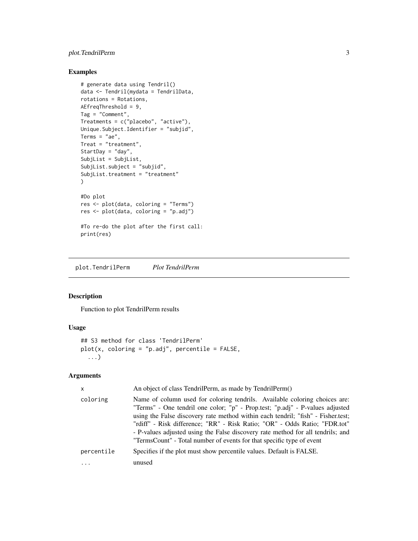# <span id="page-2-0"></span>plot.TendrilPerm 3

# Examples

```
# generate data using Tendril()
data <- Tendril(mydata = TendrilData,
rotations = Rotations,
AEfreqThreshold = 9,
Tag = "Comment",
Treatments = c("placebo", "active"),
Unique.Subject.Identifier = "subjid",
Terms = "ae",Treat = "treatment",
StartDay = "day",
SubjList = SubjList,
SubjList.subject = "subjid",
SubjList.treatment = "treatment"
\sum#Do plot
res <- plot(data, coloring = "Terms")
res <- plot(data, coloring = "p.adj")
#To re-do the plot after the first call:
print(res)
```
plot.TendrilPerm *Plot TendrilPerm*

# Description

Function to plot TendrilPerm results

### Usage

```
## S3 method for class 'TendrilPerm'
plot(x, coloring = "p.add", percentile = FALSE,...)
```
# Arguments

| $\mathsf{x}$ | An object of class TendrilPerm, as made by TendrilPerm()                                                                                                                                                                                                                                                                                                                                                                                                                                  |
|--------------|-------------------------------------------------------------------------------------------------------------------------------------------------------------------------------------------------------------------------------------------------------------------------------------------------------------------------------------------------------------------------------------------------------------------------------------------------------------------------------------------|
| coloring     | Name of column used for coloring tendrils. Available coloring choices are:<br>"Terms" - One tendril one color; "p" - Prop.test; "p.adj" - P-values adjusted<br>using the False discovery rate method within each tendril; "fish" - Fisher.test;<br>"rdiff" - Risk difference; "RR" - Risk Ratio; "OR" - Odds Ratio; "FDR.tot"<br>- P-values adjusted using the False discovery rate method for all tendrils; and<br>"TermsCount" - Total number of events for that specific type of event |
| percentile   | Specifies if the plot must show percentile values. Default is FALSE.                                                                                                                                                                                                                                                                                                                                                                                                                      |
| .            | unused                                                                                                                                                                                                                                                                                                                                                                                                                                                                                    |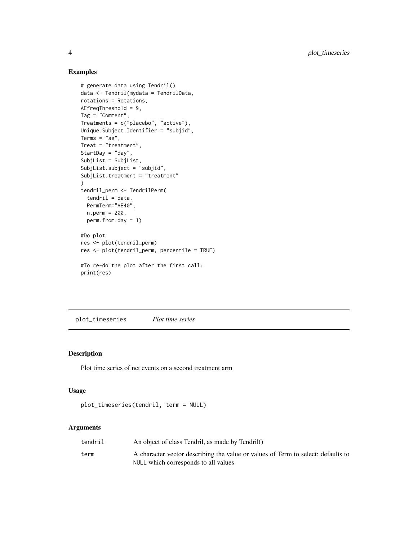# <span id="page-3-0"></span>Examples

```
# generate data using Tendril()
data <- Tendril(mydata = TendrilData,
rotations = Rotations,
AEfreqThreshold = 9,
Tag = "Comment",
Treatments = c("placebo", "active"),
Unique.Subject.Identifier = "subjid",
Terms = "ae",Treat = "treatment",
StartDay = "day",
SubjList = SubjList,
SubjList.subject = "subjid",
SubjList.treatment = "treatment"
\lambdatendril_perm <- TendrilPerm(
  tendril = data,PermTerm="AE40",
  n.perm = 200,
  perm.from.day = 1)
#Do plot
res <- plot(tendril_perm)
res <- plot(tendril_perm, percentile = TRUE)
#To re-do the plot after the first call:
print(res)
```
plot\_timeseries *Plot time series*

# Description

Plot time series of net events on a second treatment arm

# Usage

```
plot_timeseries(tendril, term = NULL)
```
# Arguments

| tendril | An object of class Tendril, as made by Tendril()                                 |
|---------|----------------------------------------------------------------------------------|
| term    | A character vector describing the value or values of Term to select; defaults to |
|         | NULL which corresponds to all values                                             |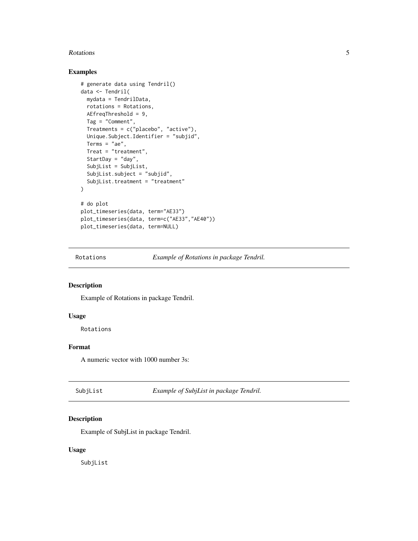#### <span id="page-4-0"></span>Rotations 5

# Examples

```
# generate data using Tendril()
data <- Tendril(
  mydata = TendrilData,
  rotations = Rotations,
  AEfreqThreshold = 9,
  Tag = "Comment",
  Treatments = c("placebo", "active"),
  Unique.Subject.Identifier = "subjid",
  Terms = "ae",Treat = "treatment",
  StartDay = "day",
  SubjList = SubjList,
  SubjList.subject = "subjid",
  SubjList.treatment = "treatment"
)
# do plot
plot_timeseries(data, term="AE33")
plot_timeseries(data, term=c("AE33","AE40"))
plot_timeseries(data, term=NULL)
```
Rotations *Example of Rotations in package Tendril.*

# Description

Example of Rotations in package Tendril.

# Usage

Rotations

# Format

A numeric vector with 1000 number 3s:

SubjList *Example of SubjList in package Tendril.*

# Description

Example of SubjList in package Tendril.

# Usage

SubjList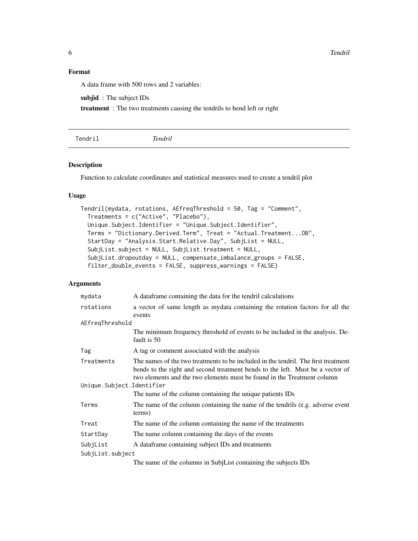<span id="page-5-0"></span>6 Tendril

# Format

A data frame with 500 rows and 2 variables:

subjid: The subject IDs

treatment : The two treatments causing the tendrils to bend left or right

Tendril *Tendril*

# Description

Function to calculate coordinates and statistical measures used to create a tendril plot

# Usage

```
Tendril(mydata, rotations, AEfreqThreshold = 50, Tag = "Comment",
 Treatments = c("Active", "Placebo"),
 Unique.Subject.Identifier = "Unique.Subject.Identifier",
 Terms = "Dictionary.Derived.Term", Treat = "Actual.Treatment...DB",
  StartDay = "Analysis.Start.Relative.Day", SubjList = NULL,
  SubjList.subject = NULL, SubjList.treatment = NULL,
  SubjList.dropoutday = NULL, compensate_imbalance_groups = FALSE,
  filter_double_events = FALSE, suppress_warnings = FALSE)
```
# Arguments

| mydata                    | A dataframe containing the data for the tendril calculations                                                                                                                                                                                    |  |
|---------------------------|-------------------------------------------------------------------------------------------------------------------------------------------------------------------------------------------------------------------------------------------------|--|
| rotations                 | a vector of same length as mydata containing the rotation factors for all the                                                                                                                                                                   |  |
| AEfreqThreshold           | events                                                                                                                                                                                                                                          |  |
|                           | The minimum frequency threshold of events to be included in the analysis. De-<br>fault is 50                                                                                                                                                    |  |
| Tag                       | A tag or comment associated with the analysis                                                                                                                                                                                                   |  |
| Treatments                | The names of the two treatments to be included in the tendril. The first treatment<br>bends to the right and second treatment bends to the left. Must be a vector of<br>two elements and the two elements must be found in the Treatment column |  |
| Unique.Subject.Identifier |                                                                                                                                                                                                                                                 |  |
|                           | The name of the column containing the unique patients IDs                                                                                                                                                                                       |  |
| Terms                     | The name of the column containing the name of the tendrils (e.g. adverse event<br>terms)                                                                                                                                                        |  |
| Treat                     | The name of the column containing the name of the treatments                                                                                                                                                                                    |  |
| StartDay                  | The name column containing the days of the events                                                                                                                                                                                               |  |
| SubjList                  | A dataframe containing subject IDs and treatments                                                                                                                                                                                               |  |
| SubjList.subject          |                                                                                                                                                                                                                                                 |  |
|                           | The name of the columns in Subject containing the subjects $\text{In}^{\text{c}}$                                                                                                                                                               |  |

The name of the columns in SubjList containing the subjects IDs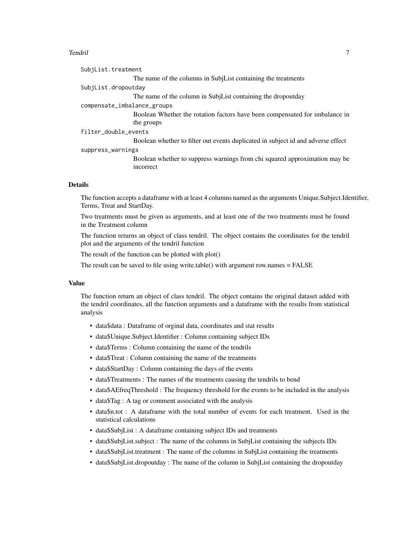#### Tendril 7

| SubjList.treatment          |                                                                                  |
|-----------------------------|----------------------------------------------------------------------------------|
|                             | The name of the columns in SubjList containing the treatments                    |
| SubjList.dropoutday         |                                                                                  |
|                             | The name of the column in SubjList containing the dropoutday                     |
| compensate_imbalance_groups |                                                                                  |
|                             | Boolean Whether the rotation factors have been compensated for imbalance in      |
|                             | the groups                                                                       |
| filter_double_events        |                                                                                  |
|                             | Boolean whether to filter out events duplicated in subject id and adverse effect |
| suppress_warnings           |                                                                                  |
|                             | Boolean whether to suppress warnings from chi squared approximation may be       |
|                             | incorrect                                                                        |
|                             |                                                                                  |

# Details

The function accepts a dataframe with at least 4 columns named as the arguments Unique.Subject.Identifier, Terms, Treat and StartDay.

Two treatments must be given as arguments, and at least one of the two treatments must be found in the Treatment column

The function returns an object of class tendril. The object contains the coordinates for the tendril plot and the arguments of the tendril function

The result of the function can be plotted with plot()

The result can be saved to file using write.table() with argument row.names = FALSE

#### Value

The function return an object of class tendril. The object contains the original dataset added with the tendril coordinates, all the function arguments and a dataframe with the results from statistical analysis

- data\$data : Dataframe of orginal data, coordinates and stat results
- data\$Unique.Subject.Identifier : Column containing subject IDs
- data\$Terms : Column containing the name of the tendrils
- data\$Treat : Column containing the name of the treatments
- data\$StartDay : Column containing the days of the events
- data\$Treatments : The names of the treatments causing the tendrils to bend
- data\$AEfreqThreshold : The frequency threshold for the events to be included in the analysis
- data\$Tag : A tag or comment associated with the analysis
- data\$n.tot : A dataframe with the total number of events for each treatment. Used in the statistical calculations
- data\$SubjList : A dataframe containing subject IDs and treatments
- data\$SubjList.subject : The name of the columns in SubjList containing the subjects IDs
- data\$SubjList.treatment : The name of the columns in SubjList containing the treatments
- data\$SubjList.dropoutday : The name of the column in SubjList containing the dropoutday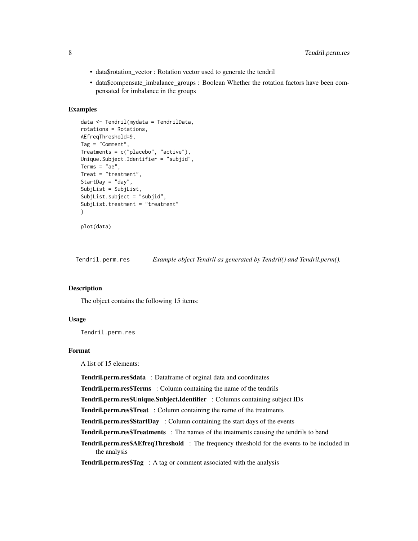- <span id="page-7-0"></span>• data\$rotation\_vector : Rotation vector used to generate the tendril
- data\$compensate\_imbalance\_groups : Boolean Whether the rotation factors have been compensated for imbalance in the groups

#### Examples

```
data <- Tendril(mydata = TendrilData,
rotations = Rotations,
AEfreqThreshold=9,
Tag = "Comment",
Treatments = c("placebo", "active"),
Unique.Subject.Identifier = "subjid",
Terms = "ae",Treat = "treatment",
StartDay = "day",
SubjList = SubjList,SubjList.subject = "subjid",
SubjList.treatment = "treatment"
)
plot(data)
```
Tendril.perm.res *Example object Tendril as generated by Tendril() and Tendril.perm().*

#### Description

The object contains the following 15 items:

#### Usage

Tendril.perm.res

#### Format

A list of 15 elements:

Tendril.perm.res\$data : Dataframe of orginal data and coordinates

Tendril.perm.res\$Terms : Column containing the name of the tendrils

Tendril.perm.res\$Unique.Subject.Identifier : Columns containing subject IDs

Tendril.perm.res\$Treat : Column containing the name of the treatments

Tendril.perm.res\$StartDay: Column containing the start days of the events

Tendril.perm.res\$Treatments : The names of the treatments causing the tendrils to bend

Tendril.perm.res\$AEfreqThreshold : The frequency threshold for the events to be included in the analysis

Tendril.perm.res\$Tag : A tag or comment associated with the analysis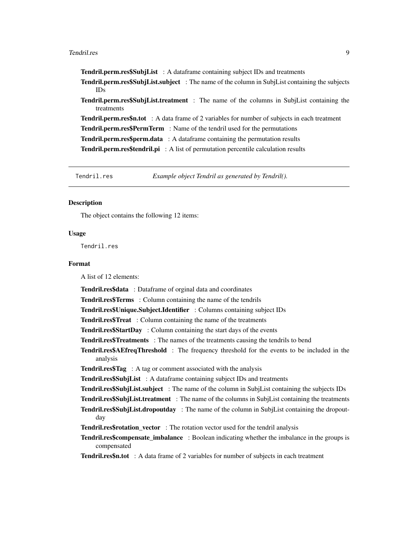#### <span id="page-8-0"></span>Tendril.res 9

Tendril.perm.res\$SubjList : A dataframe containing subject IDs and treatments

Tendril.perm.res\$SubjList.subject : The name of the column in SubjList containing the subjects IDs

Tendril.perm.res\$SubjList.treatment : The name of the columns in SubjList containing the treatments

Tendril.perm.res\$n.tot : A data frame of 2 variables for number of subjects in each treatment

Tendril.perm.res\$PermTerm : Name of the tendril used for the permutations

Tendril.perm.res\$perm.data : A dataframe containing the permutation results

Tendril.perm.res\$tendril.pi : A list of permutation percentile calculation results

Tendril.res *Example object Tendril as generated by Tendril().*

## Description

The object contains the following 12 items:

#### Usage

Tendril.res

# Format

A list of 12 elements:

Tendril.res\$data : Dataframe of orginal data and coordinates

Tendril.res\$Terms : Column containing the name of the tendrils

Tendril.res\$Unique.Subject.Identifier : Columns containing subject IDs

Tendril.res\$Treat: Column containing the name of the treatments

Tendril.res\$StartDay: Column containing the start days of the events

Tendril.res\$Treatments : The names of the treatments causing the tendrils to bend

Tendril.res\$AEfreqThreshold : The frequency threshold for the events to be included in the analysis

Tendril.res\$Tag : A tag or comment associated with the analysis

Tendril.res\$SubjList : A dataframe containing subject IDs and treatments

**Tendril.res\$SubjList.subject** : The name of the column in SubjList containing the subjects IDs

**Tendril.res\$SubjList.treatment** : The name of the columns in SubjList containing the treatments

Tendril.res\$SubjList.dropoutday : The name of the column in SubjList containing the dropoutday

Tendril.res\$rotation\_vector : The rotation vector used for the tendril analysis

**Tendril.res\$compensate imbalance** : Boolean indicating whether the imbalance in the groups is compensated

**Tendril.res\$n.tot** : A data frame of 2 variables for number of subjects in each treatment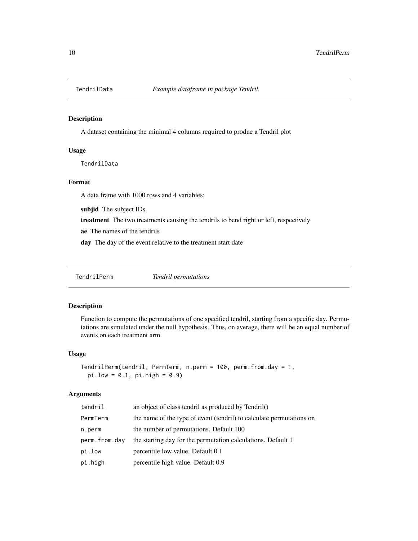<span id="page-9-0"></span>

#### Description

A dataset containing the minimal 4 columns required to produe a Tendril plot

# Usage

TendrilData

#### Format

A data frame with 1000 rows and 4 variables:

subjid The subject IDs

treatment The two treatments causing the tendrils to bend right or left, respectively

ae The names of the tendrils

day The day of the event relative to the treatment start date

TendrilPerm *Tendril permutations*

#### Description

Function to compute the permutations of one specified tendril, starting from a specific day. Permutations are simulated under the null hypothesis. Thus, on average, there will be an equal number of events on each treatment arm.

# Usage

```
TendrilPerm(tendril, PermTerm, n.perm = 100, perm.from.day = 1,
 pi.low = 0.1, pi.high = 0.9)
```
# Arguments

| tendril       | an object of class tendril as produced by Tendril()                  |
|---------------|----------------------------------------------------------------------|
| PermTerm      | the name of the type of event (tendril) to calculate permutations on |
| n.perm        | the number of permutations. Default 100                              |
| perm.from.day | the starting day for the permutation calculations. Default 1         |
| pi.low        | percentile low value. Default 0.1                                    |
| pi.high       | percentile high value. Default 0.9                                   |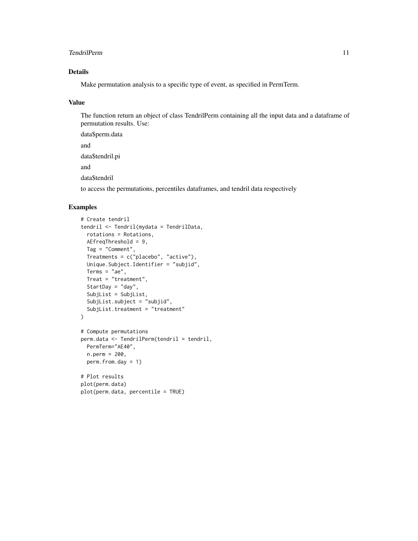#### TendrilPerm 11

# Details

Make permutation analysis to a specific type of event, as specified in PermTerm.

#### Value

The function return an object of class TendrilPerm containing all the input data and a dataframe of permutation results. Use:

data\$perm.data and data\$tendril.pi and data\$tendril to access the permutations, percentiles dataframes, and tendril data respectively

# Examples

```
# Create tendril
tendril <- Tendril(mydata = TendrilData,
  rotations = Rotations,
  AEfreqThreshold = 9,
 Tag = "Comment",
  Treatments = c("placebo", "active"),
  Unique.Subject.Identifier = "subjid",
  Terms = "ae",Treat = "treatment",
  StartDay = "day",
  SubjList = SubjList,
  SubjList.subject = "subjid",
  SubjList.treatment = "treatment"
\mathcal{L}# Compute permutations
perm.data <- TendrilPerm(tendril = tendril,
 PermTerm="AE40",
 n.perm = 200,
  perm.from.day = 1)
# Plot results
plot(perm.data)
plot(perm.data, percentile = TRUE)
```